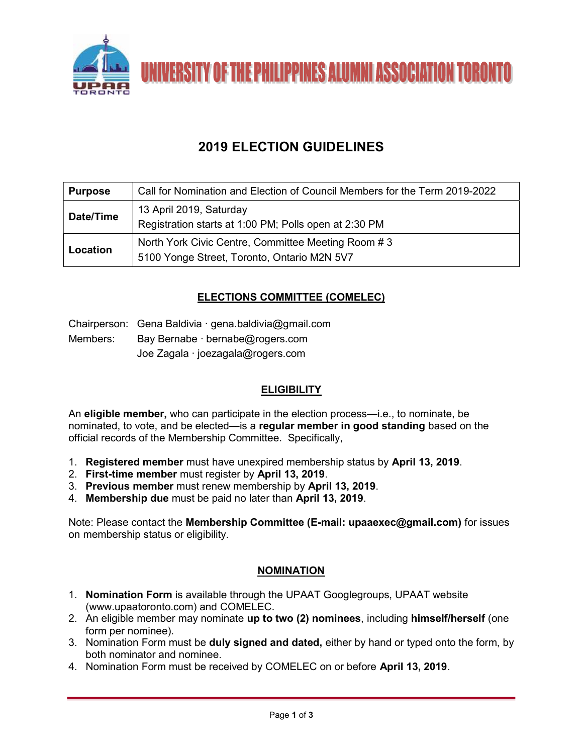

# 2019 ELECTION GUIDELINES

| <b>Purpose</b> | Call for Nomination and Election of Council Members for the Term 2019-2022                        |
|----------------|---------------------------------------------------------------------------------------------------|
| Date/Time      | 13 April 2019, Saturday<br>Registration starts at 1:00 PM; Polls open at 2:30 PM                  |
| Location       | North York Civic Centre, Committee Meeting Room #3<br>5100 Yonge Street, Toronto, Ontario M2N 5V7 |

# ELECTIONS COMMITTEE (COMELEC)

Chairperson: Gena Baldivia ∙ gena.baldivia@gmail.com

Members: Bay Bernabe ∙ bernabe@rogers.com Joe Zagala ∙ joezagala@rogers.com

# **ELIGIBILITY**

An eligible member, who can participate in the election process—i.e., to nominate, be nominated, to vote, and be elected—is a regular member in good standing based on the official records of the Membership Committee. Specifically,

- 1. Registered member must have unexpired membership status by April 13, 2019.
- 2. First-time member must register by April 13, 2019.
- 3. Previous member must renew membership by April 13, 2019.
- 4. Membership due must be paid no later than April 13, 2019.

Note: Please contact the Membership Committee (E-mail: upaaexec@gmail.com) for issues on membership status or eligibility.

# **NOMINATION**

- 1. Nomination Form is available through the UPAAT Googlegroups, UPAAT website (www.upaatoronto.com) and COMELEC.
- 2. An eligible member may nominate up to two (2) nominees, including himself/herself (one form per nominee).
- 3. Nomination Form must be duly signed and dated, either by hand or typed onto the form, by both nominator and nominee.
- 4. Nomination Form must be received by COMELEC on or before April 13, 2019.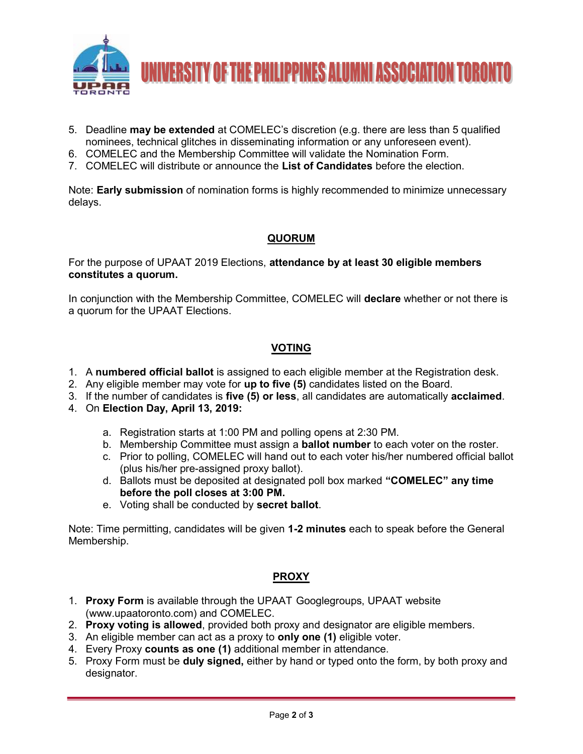

- 5. Deadline **may be extended** at COMELEC's discretion (e.g. there are less than 5 qualified nominees, technical glitches in disseminating information or any unforeseen event).
- 6. COMELEC and the Membership Committee will validate the Nomination Form.
- 7. COMELEC will distribute or announce the List of Candidates before the election.

Note: **Early submission** of nomination forms is highly recommended to minimize unnecessary delays.

### QUORUM

For the purpose of UPAAT 2019 Elections, attendance by at least 30 eligible members constitutes a quorum.

In conjunction with the Membership Committee, COMELEC will declare whether or not there is a quorum for the UPAAT Elections.

#### VOTING

- 1. A numbered official ballot is assigned to each eligible member at the Registration desk.
- 2. Any eligible member may vote for up to five (5) candidates listed on the Board.
- 3. If the number of candidates is five (5) or less, all candidates are automatically acclaimed.
- 4. On Election Day, April 13, 2019:
	- a. Registration starts at 1:00 PM and polling opens at 2:30 PM.
	- b. Membership Committee must assign a **ballot number** to each voter on the roster.
	- c. Prior to polling, COMELEC will hand out to each voter his/her numbered official ballot (plus his/her pre-assigned proxy ballot).
	- d. Ballots must be deposited at designated poll box marked "COMELEC" any time before the poll closes at 3:00 PM.
	- e. Voting shall be conducted by secret ballot.

Note: Time permitting, candidates will be given 1-2 minutes each to speak before the General Membership.

#### PROXY

- 1. Proxy Form is available through the UPAAT Googlegroups, UPAAT website (www.upaatoronto.com) and COMELEC.
- 2. Proxy voting is allowed, provided both proxy and designator are eligible members.
- 3. An eligible member can act as a proxy to only one (1) eligible voter.
- 4. Every Proxy counts as one (1) additional member in attendance.
- 5. Proxy Form must be **duly signed**, either by hand or typed onto the form, by both proxy and designator.